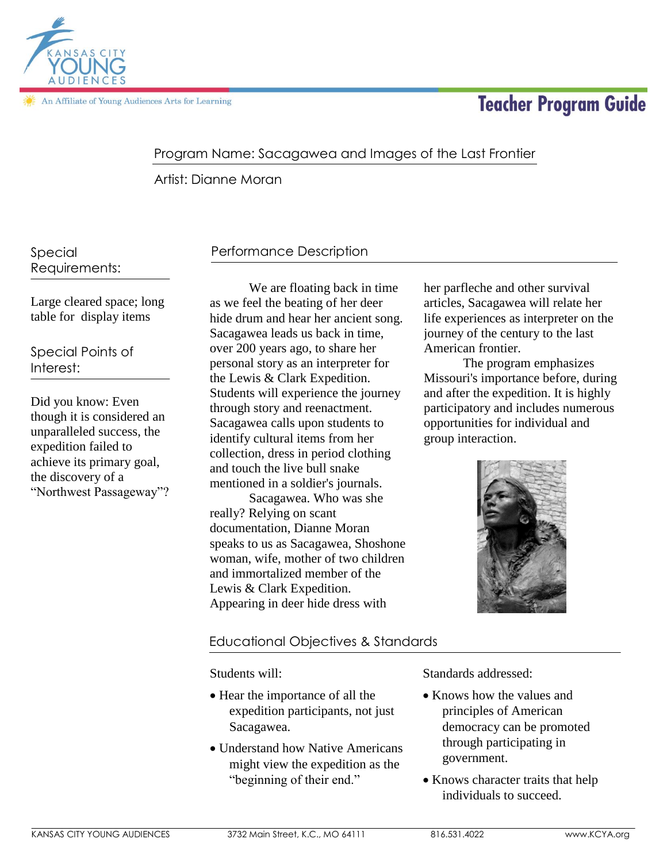

# **Teacher Program Guide**

### Program Name: Sacagawea and Images of the Last Frontier

Artist: Dianne Moran

Special Requirements:

Large cleared space; long table for display items

Special Points of Interest:

Did you know: Even though it is considered an unparalleled success, the expedition failed to achieve its primary goal, the discovery of a "Northwest Passageway"?

# Performance Description

We are floating back in time as we feel the beating of her deer hide drum and hear her ancient song. Sacagawea leads us back in time, over 200 years ago, to share her personal story as an interpreter for the Lewis & Clark Expedition. Students will experience the journey through story and reenactment. Sacagawea calls upon students to identify cultural items from her collection, dress in period clothing and touch the live bull snake mentioned in a soldier's journals.

Sacagawea. Who was she really? Relying on scant documentation, Dianne Moran speaks to us as Sacagawea, Shoshone woman, wife, mother of two children and immortalized member of the Lewis & Clark Expedition. Appearing in deer hide dress with

her parfleche and other survival articles, Sacagawea will relate her life experiences as interpreter on the journey of the century to the last American frontier.

The program emphasizes Missouri's importance before, during and after the expedition. It is highly participatory and includes numerous opportunities for individual and group interaction.



### Educational Objectives & Standards

Students will:

- Hear the importance of all the expedition participants, not just Sacagawea.
- Understand how Native Americans might view the expedition as the "beginning of their end."

Standards addressed:

- Knows how the values and principles of American democracy can be promoted through participating in government.
- Knows character traits that help individuals to succeed.